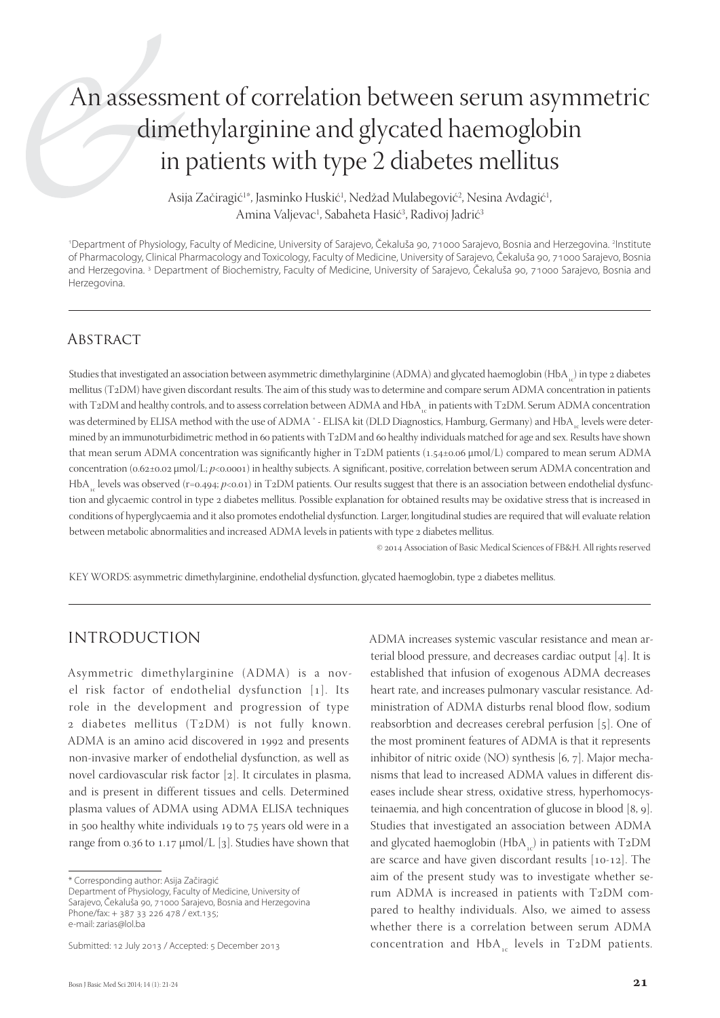# An assessment of correlation between serum asymmetric dimethylarginine and glycated haemoglobin in patients with type 2 diabetes mellitus

Asija Začiragić<sup>1\*</sup>, Jasminko Huskić<sup>1</sup>, Nedžad Mulabegović<sup>2</sup>, Nesina Avdagić<sup>1</sup>, Amina Valjevac<sup>1</sup>, Sabaheta Hasić<sup>3</sup>, Radivoj Jadrić<sup>3</sup>

<sup>1</sup>Department of Physiology, Faculty of Medicine, University of Sarajevo, Čekaluša 90, 71000 Sarajevo, Bosnia and Herzegovina. <sup>2</sup>Institute of Pharmacology, Clinical Pharmacology and Toxicology, Faculty of Medicine, University of Sarajevo, Čekaluša 90, 71000 Sarajevo, Bosnia and Herzegovina. 3 Department of Biochemistry, Faculty of Medicine, University of Sarajevo, Čekaluša 90, 71000 Sarajevo, Bosnia and Herzegovina.

### **ABSTRACT**

Studies that investigated an association between asymmetric dimethylarginine (ADMA) and glycated haemoglobin (HbA<sub>c</sub>) in type 2 diabetes mellitus (T2DM) have given discordant results. The aim of this study was to determine and compare serum ADMA concentration in patients with T2DM and healthy controls, and to assess correlation between ADMA and HbA in patients with T2DM. Serum ADMA concentration was determined by ELISA method with the use of ADMA \* - ELISA kit (DLD Diagnostics, Hamburg, Germany) and HbA levels were determined by an immunoturbidimetric method in 60 patients with T2DM and 60 healthy individuals matched for age and sex. Results have shown that mean serum ADMA concentration was significantly higher in T2DM patients (1.54±0.06 μmol/L) compared to mean serum ADMA concentration (0.62±0.02 μmol/L; *p*<0.0001) in healthy subjects. A significant, positive, correlation between serum ADMA concentration and HbA<sub>ra</sub> levels was observed (r=0.494; *p*<0.01) in T2DM patients. Our results suggest that there is an association between endothelial dysfunction and glycaemic control in type 2 diabetes mellitus. Possible explanation for obtained results may be oxidative stress that is increased in conditions of hyperglycaemia and it also promotes endothelial dysfunction. Larger, longitudinal studies are required that will evaluate relation between metabolic abnormalities and increased ADMA levels in patients with type 2 diabetes mellitus.

© 2014 Association of Basic Medical Sciences of FB&H. All rights reserved

KEY WORDS: asymmetric dimethylarginine, endothelial dysfunction, glycated haemoglobin, type 2 diabetes mellitus.

### INTRODUCTION

Asymmetric dimethylarginine (ADMA) is a novel risk factor of endothelial dysfunction  $[1]$ . Its role in the development and progression of type  $2$  diabetes mellitus (T2DM) is not fully known. ADMA is an amino acid discovered in 1992 and presents non-invasive marker of endothelial dysfunction, as well as novel cardiovascular risk factor  $[2]$ . It circulates in plasma, and is present in different tissues and cells. Determined plasma values of ADMA using ADMA ELISA techniques in 500 healthy white individuals 19 to 75 years old were in a range from 0.36 to 1.17  $\mu$ mol/L [3]. Studies have shown that

Department of Physiology, Faculty of Medicine, University of Sarajevo, Čekaluša 90, 71000 Sarajevo, Bosnia and Herzegovina Phone/fax: + 387 33 226 478 / ext.135; e-mail: zarias@lol.ba

Submitted: 12 July 2013 / Accepted: 5 December 2013

ADMA increases systemic vascular resistance and mean arterial blood pressure, and decreases cardiac output  $[4]$ . It is established that infusion of exogenous ADMA decreases heart rate, and increases pulmonary vascular resistance. Administration of ADMA disturbs renal blood flow, sodium reabsorbtion and decreases cerebral perfusion [5]. One of the most prominent features of ADMA is that it represents inhibitor of nitric oxide (NO) synthesis  $[6, 7]$ . Major mechanisms that lead to increased ADMA values in different diseases include shear stress, oxidative stress, hyperhomocysteinaemia, and high concentration of glucose in blood  $[8, 9]$ . Studies that investigated an association between ADMA and glycated haemoglobin (HbA<sub>c</sub>) in patients with T<sub>2</sub>DM are scarce and have given discordant results  $[10-12]$ . The aim of the present study was to investigate whether serum ADMA is increased in patients with T2DM compared to healthy individuals. Also, we aimed to assess whether there is a correlation between serum ADMA concentration and  $HbA_{1c}$  levels in T2DM patients.

<sup>\*</sup> Corresponding author: Asija Začiragić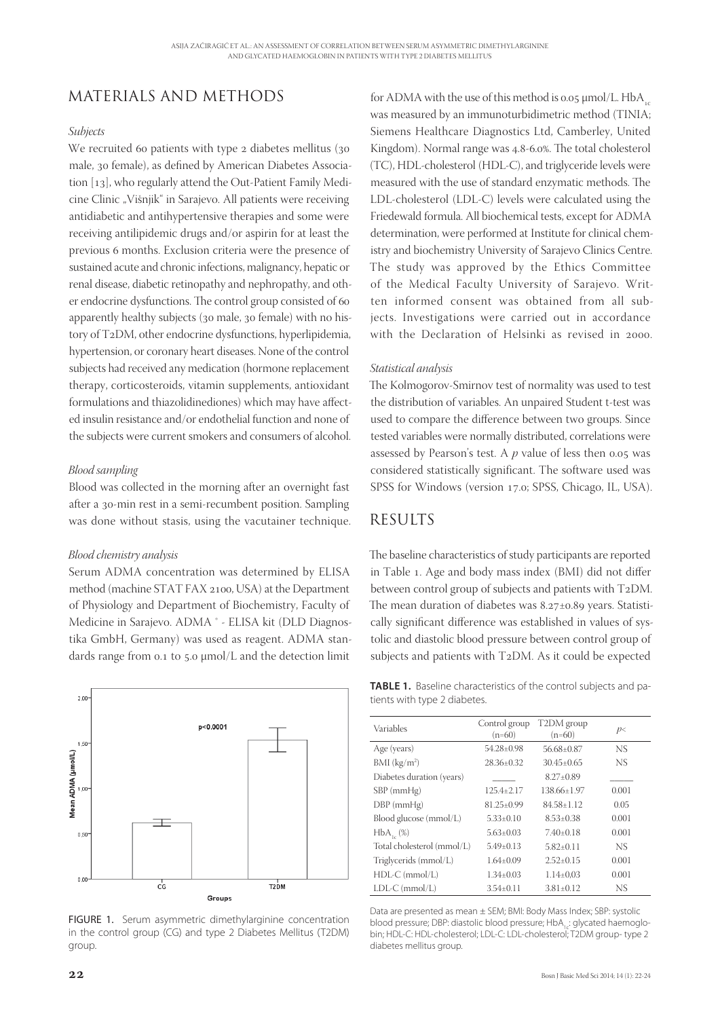# MATERIALS AND METHODS

#### *Subjects*

We recruited 60 patients with type  $\alpha$  diabetes mellitus (30) male, 30 female), as defined by American Diabetes Association  $[13]$ , who regularly attend the Out-Patient Family Medicine Clinic "Višnjik" in Sarajevo. All patients were receiving antidiabetic and antihypertensive therapies and some were receiving antilipidemic drugs and/or aspirin for at least the previous 6 months. Exclusion criteria were the presence of sustained acute and chronic infections, malignancy, hepatic or renal disease, diabetic retinopathy and nephropathy, and other endocrine dysfunctions. The control group consisted of 60 apparently healthy subjects (30 male, 30 female) with no history of T2DM, other endocrine dysfunctions, hyperlipidemia, hypertension, or coronary heart diseases. None of the control subjects had received any medication (hormone replacement therapy, corticosteroids, vitamin supplements, antioxidant formulations and thiazolidinediones) which may have affected insulin resistance and/or endothelial function and none of the subjects were current smokers and consumers of alcohol.

#### *Blood sampling*

Blood was collected in the morning after an overnight fast after a 30-min rest in a semi-recumbent position. Sampling was done without stasis, using the vacutainer technique.

#### *Blood chemistry analysis*

Serum ADMA concentration was determined by ELISA method (machine STAT FAX 2100, USA) at the Department of Physiology and Department of Biochemistry, Faculty of Medicine in Sarajevo. ADMA ® - ELISA kit (DLD Diagnostika GmbH, Germany) was used as reagent. ADMA standards range from  $0.1$  to  $5.0 \mu$ mol/L and the detection limit



FIGURE 1. Serum asymmetric dimethylarginine concentration in the control group (CG) and type 2 Diabetes Mellitus (T2DM) group.

for ADMA with the use of this method is 0.05  $\mu$ mol/L. HbA<sub>cc</sub> was measured by an immunoturbidimetric method (TINIA; Siemens Healthcare Diagnostics Ltd, Camberley, United Kingdom). Normal range was 4.8-6.0%. The total cholesterol (TC), HDL-cholesterol (HDL-C), and triglyceride levels were measured with the use of standard enzymatic methods. The LDL-cholesterol (LDL-C) levels were calculated using the Friedewald formula. All biochemical tests, except for ADMA determination, were performed at Institute for clinical chemistry and biochemistry University of Sarajevo Clinics Centre. The study was approved by the Ethics Committee of the Medical Faculty University of Sarajevo. Written informed consent was obtained from all subjects. Investigations were carried out in accordance with the Declaration of Helsinki as revised in 2000.

#### *Statistical analysis*

The Kolmogorov-Smirnov test of normality was used to test the distribution of variables. An unpaired Student t-test was used to compare the difference between two groups. Since tested variables were normally distributed, correlations were assessed by Pearson's test. A  $p$  value of less then  $0.05$  was considered statistically significant. The software used was SPSS for Windows (version 17.0; SPSS, Chicago, IL, USA).

### RESULTS

The baseline characteristics of study participants are reported in Table 1. Age and body mass index (BMI) did not differ between control group of subjects and patients with T2DM. The mean duration of diabetes was  $8.27 \pm 0.89$  years. Statistically significant difference was established in values of systolic and diastolic blood pressure between control group of subjects and patients with T2DM. As it could be expected

| <b>TABLE 1.</b> Baseline characteristics of the control subjects and pa- |  |
|--------------------------------------------------------------------------|--|
| tients with type 2 diabetes.                                             |  |

| Variables                  | Control group<br>$(n=60)$ | T2DM group<br>$(n=60)$ | p<    |
|----------------------------|---------------------------|------------------------|-------|
| Age (years)                | $54.28 \pm 0.98$          | 56.68+0.87             | NS    |
| $BMI$ (kg/m <sup>2</sup> ) | 28.36+0.32                | $30.45 + 0.65$         | NS    |
| Diabetes duration (years)  |                           | $8.27+0.89$            |       |
| $SBP$ (mm $Hg$ )           | $125.4 \pm 2.17$          | 138.66+1.97            | 0.001 |
| $DBP$ (mm $Hg$ )           | $81.25 \pm 0.99$          | $84.58 + 1.12$         | 0.05  |
| Blood glucose (mmol/L)     | $5.33+0.10$               | $8.53 + 0.38$          | 0.001 |
| $HbA_{1}(\%)$              | $5.63 \pm 0.03$           | $7.40+0.18$            | 0.001 |
| Total cholesterol (mmol/L) | $5.49 + 0.13$             | $5.82+0.11$            | NS    |
| Triglycerids (mmol/L)      | $1.64 \pm 0.09$           | $2.52+0.15$            | 0.001 |
| $HDL-C$ (mmol/L)           | $1.34 + 0.03$             | $1.14 \pm 0.03$        | 0.001 |
| $LDL-C$ (mmol/L)           | $3.54 + 0.11$             | $3.81 \pm 0.12$        | NS    |

Data are presented as mean ± SEM; BMI: Body Mass Index; SBP: systolic blood pressure; DBP: diastolic blood pressure; HbA, : glycated haemoglobin; HDL-C: HDL-cholesterol; LDL-C: LDL-cholesterol; T2DM group- type 2 diabetes mellitus group.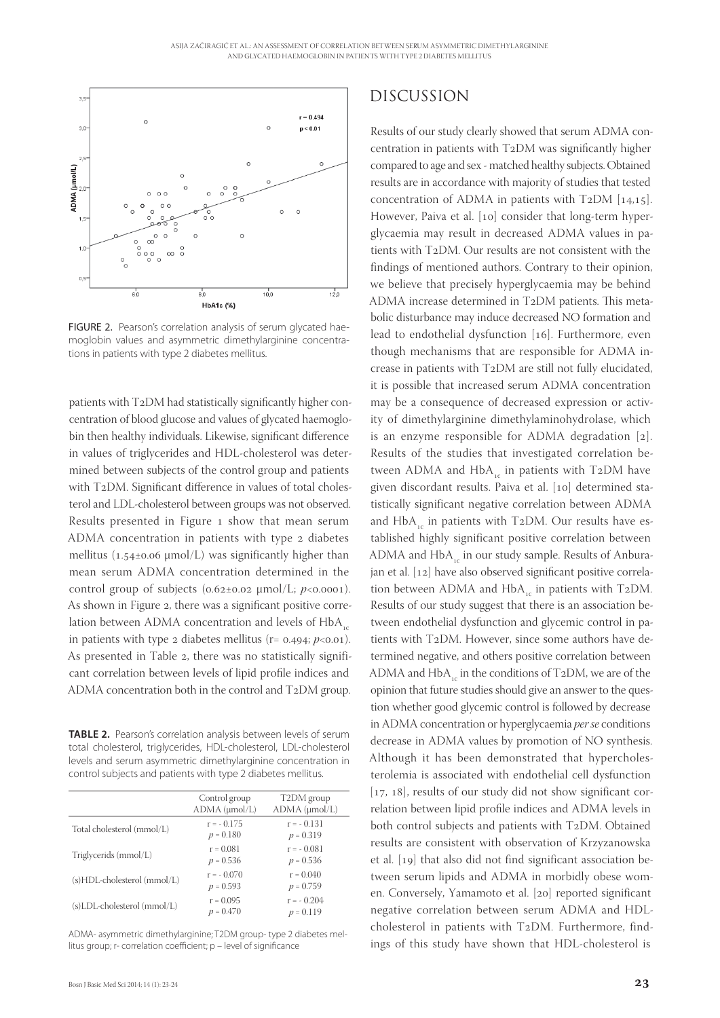

FIGURE 2. Pearson's correlation analysis of serum glycated haemoglobin values and asymmetric dimethylarginine concentrations in patients with type 2 diabetes mellitus.

patients with  $T_2DM$  had statistically significantly higher concentration of blood glucose and values of glycated haemoglobin then healthy individuals. Likewise, significant difference in values of triglycerides and HDL-cholesterol was determined between subjects of the control group and patients with  $T_2DM$ . Significant difference in values of total cholesterol and LDL-cholesterol between groups was not observed. Results presented in Figure 1 show that mean serum ADMA concentration in patients with type 2 diabetes mellitus ( $1.54\pm0.06 \mu$ mol/L) was significantly higher than mean serum ADMA concentration determined in the control group of subjects ( $0.62 \pm 0.02 \mu \text{mol/L}$ ;  $p \lt 0.0001$ ). As shown in Figure 2, there was a significant positive correlation between ADMA concentration and levels of  $HbA_c$ in patients with type 2 diabetes mellitus ( $r = 0.494$ ;  $p < 0.01$ ). As presented in Table 2, there was no statistically significant correlation between levels of lipid profile indices and ADMA concentration both in the control and  $T_2DM$  group.

**TABLE 2.** Pearson's correlation analysis between levels of serum total cholesterol, triglycerides, HDL-cholesterol, LDL-cholesterol levels and serum asymmetric dimethylarginine concentration in control subjects and patients with type 2 diabetes mellitus.

|                             | Control group<br>$ADMA$ ( $\mu$ mol/L) | T2DM group<br>$ADMA$ ( $\mu$ mol/L) |
|-----------------------------|----------------------------------------|-------------------------------------|
| Total cholesterol (mmol/L)  | $r = -0.175$<br>$p = 0.180$            | $r = -0.131$<br>$p = 0.319$         |
| Triglycerids (mmol/L)       | $r = 0.081$<br>$p = 0.536$             | $r = -0.081$<br>$p = 0.536$         |
| (s)HDL-cholesterol (mmol/L) | $r = -0.070$<br>$p = 0.593$            | $r = 0.040$<br>$p = 0.759$          |
| (s)LDL-cholesterol (mmol/L) | $r = 0.095$<br>$p = 0.470$             | $r = -0.204$<br>$p = 0.119$         |

ADMA- asymmetric dimethylarginine; T2DM group- type 2 diabetes mellitus group; r- correlation coefficient; p - level of significance

### DISCUSSION

Results of our study clearly showed that serum ADMA concentration in patients with  $T_2DM$  was significantly higher compared to age and sex - matched healthy subjects. Obtained results are in accordance with majority of studies that tested concentration of ADMA in patients with T2DM  $[14,15]$ . However, Paiva et al. [10] consider that long-term hyperglycaemia may result in decreased ADMA values in patients with T2DM. Our results are not consistent with the findings of mentioned authors. Contrary to their opinion, we believe that precisely hyperglycaemia may be behind ADMA increase determined in  $T_2DM$  patients. This metabolic disturbance may induce decreased NO formation and lead to endothelial dysfunction  $[16]$ . Furthermore, even though mechanisms that are responsible for ADMA increase in patients with  $T_2DM$  are still not fully elucidated, it is possible that increased serum ADMA concentration may be a consequence of decreased expression or activity of dimethylarginine dimethylaminohydrolase, which is an enzyme responsible for ADMA degradation  $[2]$ . Results of the studies that investigated correlation between ADMA and HbA $_{\odot}$  in patients with T2DM have given discordant results. Paiva et al. [10] determined statistically significant negative correlation between ADMA and  $HbA_c$  in patients with T2DM. Our results have established highly significant positive correlation between ADMA and  $HbA<sub>16</sub>$  in our study sample. Results of Anburajan et al. [12] have also observed significant positive correlation between ADMA and HbA<sub>c</sub> in patients with T<sub>2</sub>DM. Results of our study suggest that there is an association between endothelial dysfunction and glycemic control in patients with T2DM. However, since some authors have determined negative, and others positive correlation between ADMA and  $HbA<sub>16</sub>$  in the conditions of T2DM, we are of the opinion that future studies should give an answer to the question whether good glycemic control is followed by decrease in ADMA concentration or hyperglycaemia *per se* conditions decrease in ADMA values by promotion of NO synthesis. Although it has been demonstrated that hypercholesterolemia is associated with endothelial cell dysfunction  $[17, 18]$ , results of our study did not show significant correlation between lipid profile indices and ADMA levels in both control subjects and patients with T2DM. Obtained results are consistent with observation of Krzyzanowska et al. [19] that also did not find significant association between serum lipids and ADMA in morbidly obese women. Conversely, Yamamoto et al. [20] reported significant negative correlation between serum ADMA and HDLcholesterol in patients with T2DM. Furthermore, findings of this study have shown that HDL-cholesterol is